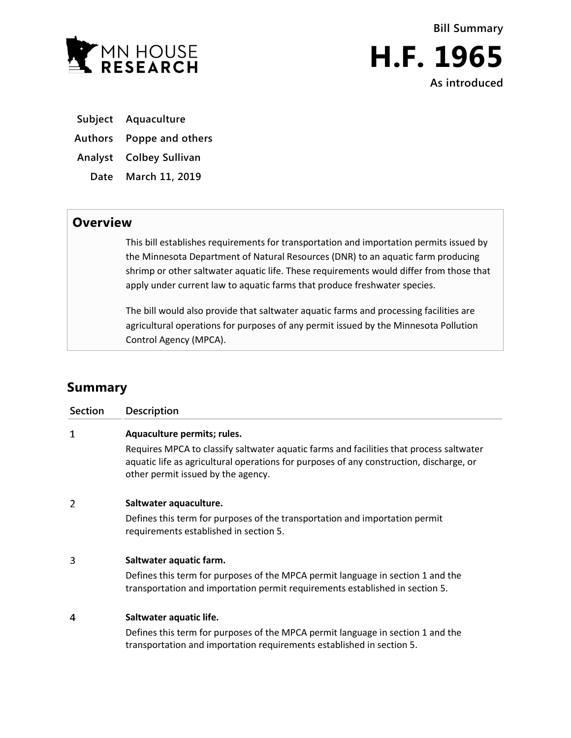

**Bill Summary H.F. 1965 As introduced**

**Subject Aquaculture**

**Authors Poppe and others**

**Analyst Colbey Sullivan**

**Date March 11, 2019**

## **Overview**

This bill establishes requirements for transportation and importation permits issued by the Minnesota Department of Natural Resources (DNR) to an aquatic farm producing shrimp or other saltwater aquatic life. These requirements would differ from those that apply under current law to aquatic farms that produce freshwater species.

The bill would also provide that saltwater aquatic farms and processing facilities are agricultural operations for purposes of any permit issued by the Minnesota Pollution Control Agency (MPCA).

## **Summary**

| Section | Description                                                                                                                                                                                                              |
|---------|--------------------------------------------------------------------------------------------------------------------------------------------------------------------------------------------------------------------------|
| 1       | Aquaculture permits; rules.                                                                                                                                                                                              |
|         | Requires MPCA to classify saltwater aquatic farms and facilities that process saltwater<br>aquatic life as agricultural operations for purposes of any construction, discharge, or<br>other permit issued by the agency. |
| 2       | Saltwater aquaculture.                                                                                                                                                                                                   |
|         | Defines this term for purposes of the transportation and importation permit<br>requirements established in section 5.                                                                                                    |
| 3       | Saltwater aquatic farm.                                                                                                                                                                                                  |
|         | Defines this term for purposes of the MPCA permit language in section 1 and the<br>transportation and importation permit requirements established in section 5.                                                          |
| 4       | Saltwater aquatic life.                                                                                                                                                                                                  |
|         | Defines this term for purposes of the MPCA permit language in section 1 and the<br>transportation and importation requirements established in section 5.                                                                 |